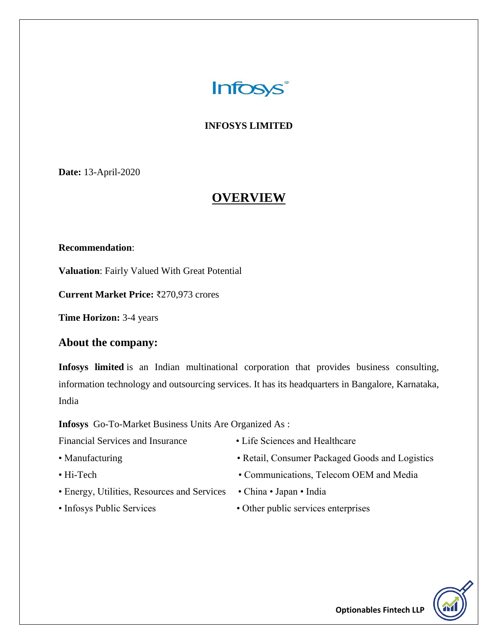

#### **INFOSYS LIMITED**

**Date:** 13-April-2020

## **OVERVIEW**

#### **Recommendation**:

**Valuation**: Fairly Valued With Great Potential

**Current Market Price:** ₹270,973 crores

**Time Horizon:** 3-4 years

#### **About the company:**

**Infosys limited** is an Indian multinational corporation that provides business consulting, information technology and outsourcing services. It has its headquarters in Bangalore, Karnataka, India

**Infosys** Go-To-Market Business Units Are Organized As :

Financial Services and Insurance • Life Sciences and Healthcare

- 
- 
- Energy, Utilities, Resources and Services China Japan India
- 
- 
- Manufacturing Retail, Consumer Packaged Goods and Logistics
- Hi-Tech Communications, Telecom OEM and Media
	-
- Infosys Public Services Other public services enterprises

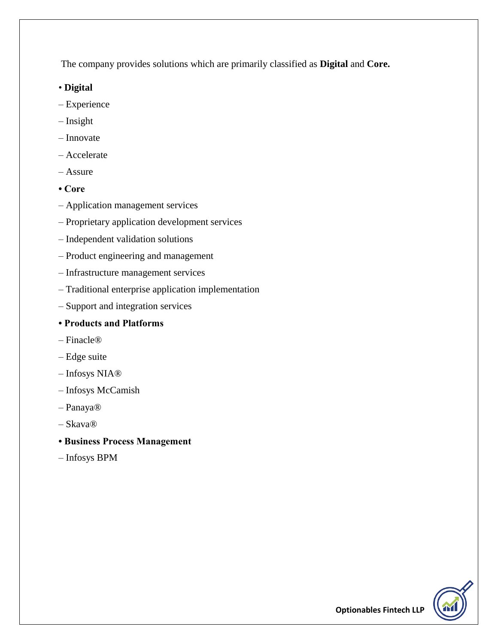The company provides solutions which are primarily classified as **Digital** and **Core.**

- **Digital**
- Experience
- Insight
- Innovate
- Accelerate
- Assure
- **Core**
- Application management services
- Proprietary application development services
- Independent validation solutions
- Product engineering and management
- Infrastructure management services
- Traditional enterprise application implementation
- Support and integration services

#### **• Products and Platforms**

- Finacle®
- Edge suite
- Infosys NIA®
- Infosys McCamish
- Panaya®
- Skava®
- **Business Process Management**
- Infosys BPM

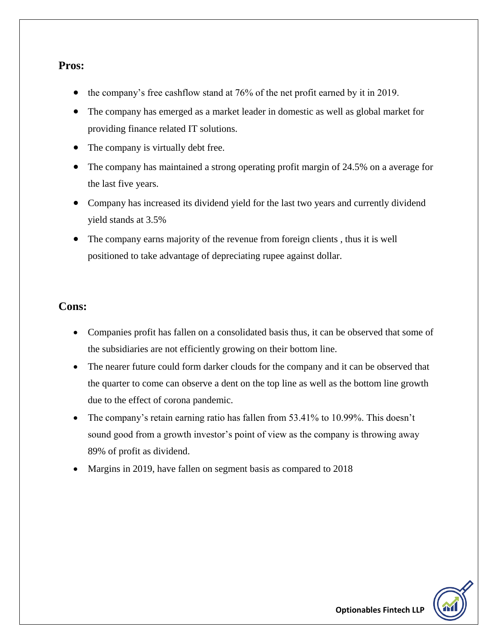#### **Pros:**

- the company's free cashflow stand at 76% of the net profit earned by it in 2019.
- The company has emerged as a market leader in domestic as well as global market for providing finance related IT solutions.
- The company is virtually debt free.
- The company has maintained a strong operating profit margin of 24.5% on a average for the last five years.
- Company has increased its dividend yield for the last two years and currently dividend yield stands at 3.5%
- The company earns majority of the revenue from foreign clients , thus it is well positioned to take advantage of depreciating rupee against dollar.

#### **Cons:**

- Companies profit has fallen on a consolidated basis thus, it can be observed that some of the subsidiaries are not efficiently growing on their bottom line.
- The nearer future could form darker clouds for the company and it can be observed that the quarter to come can observe a dent on the top line as well as the bottom line growth due to the effect of corona pandemic.
- The company's retain earning ratio has fallen from 53.41% to 10.99%. This doesn't sound good from a growth investor's point of view as the company is throwing away 89% of profit as dividend.
- Margins in 2019, have fallen on segment basis as compared to 2018

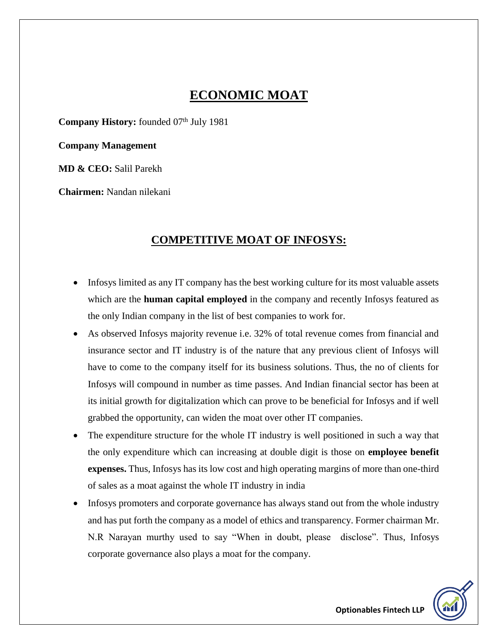## **ECONOMIC MOAT**

**Company History:** founded 07<sup>th</sup> July 1981

**Company Management**

**MD & CEO:** Salil Parekh

**Chairmen:** Nandan nilekani

### **COMPETITIVE MOAT OF INFOSYS:**

- Infosys limited as any IT company has the best working culture for its most valuable assets which are the **human capital employed** in the company and recently Infosys featured as the only Indian company in the list of best companies to work for.
- As observed Infosys majority revenue i.e. 32% of total revenue comes from financial and insurance sector and IT industry is of the nature that any previous client of Infosys will have to come to the company itself for its business solutions. Thus, the no of clients for Infosys will compound in number as time passes. And Indian financial sector has been at its initial growth for digitalization which can prove to be beneficial for Infosys and if well grabbed the opportunity, can widen the moat over other IT companies.
- The expenditure structure for the whole IT industry is well positioned in such a way that the only expenditure which can increasing at double digit is those on **employee benefit expenses.** Thus, Infosys has its low cost and high operating margins of more than one-third of sales as a moat against the whole IT industry in india
- Infosys promoters and corporate governance has always stand out from the whole industry and has put forth the company as a model of ethics and transparency. Former chairman Mr. N.R Narayan murthy used to say "When in doubt, please disclose". Thus, Infosys corporate governance also plays a moat for the company.

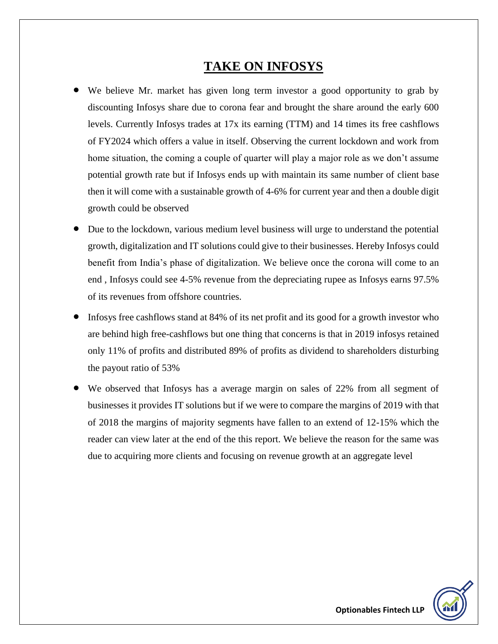## **TAKE ON INFOSYS**

- We believe Mr. market has given long term investor a good opportunity to grab by discounting Infosys share due to corona fear and brought the share around the early 600 levels. Currently Infosys trades at 17x its earning (TTM) and 14 times its free cashflows of FY2024 which offers a value in itself. Observing the current lockdown and work from home situation, the coming a couple of quarter will play a major role as we don't assume potential growth rate but if Infosys ends up with maintain its same number of client base then it will come with a sustainable growth of 4-6% for current year and then a double digit growth could be observed
- Due to the lockdown, various medium level business will urge to understand the potential growth, digitalization and IT solutions could give to their businesses. Hereby Infosys could benefit from India's phase of digitalization. We believe once the corona will come to an end , Infosys could see 4-5% revenue from the depreciating rupee as Infosys earns 97.5% of its revenues from offshore countries.
- Infosys free cashflows stand at 84% of its net profit and its good for a growth investor who are behind high free-cashflows but one thing that concerns is that in 2019 infosys retained only 11% of profits and distributed 89% of profits as dividend to shareholders disturbing the payout ratio of 53%
- We observed that Infosys has a average margin on sales of 22% from all segment of businesses it provides IT solutions but if we were to compare the margins of 2019 with that of 2018 the margins of majority segments have fallen to an extend of 12-15% which the reader can view later at the end of the this report. We believe the reason for the same was due to acquiring more clients and focusing on revenue growth at an aggregate level

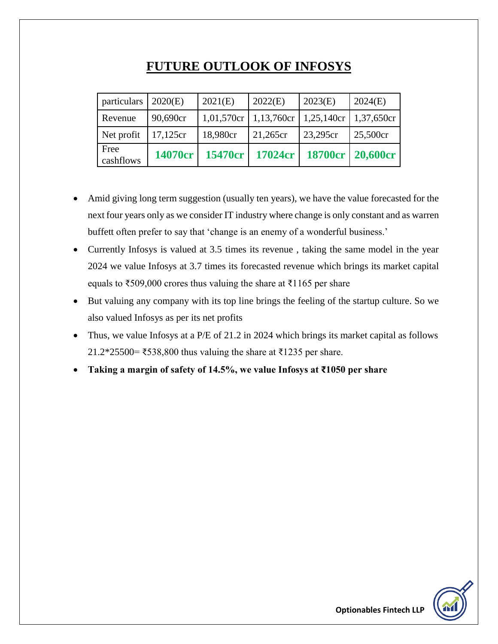## **FUTURE OUTLOOK OF INFOSYS**

| particulars $\vert$ 2020(E) |             | 2021(E)                 | 2022(E)  | 2023(E)                 | 2024(E)          |
|-----------------------------|-------------|-------------------------|----------|-------------------------|------------------|
| Revenue                     | 90,690cr    | 1,01,570cr   1,13,760cr |          | 1,25,140cr   1,37,650cr |                  |
| Net profit                  | $17,125$ cr | 18,980cr                | 21,265cr | 23,295cr                | 25,500cr         |
| Free<br>cashflows           | 14070cr     | 15470cr                 | 17024cr  |                         | 18700cr 20,600cr |

- Amid giving long term suggestion (usually ten years), we have the value forecasted for the next four years only as we consider IT industry where change is only constant and as warren buffett often prefer to say that 'change is an enemy of a wonderful business.'
- Currently Infosys is valued at 3.5 times its revenue , taking the same model in the year 2024 we value Infosys at 3.7 times its forecasted revenue which brings its market capital equals to  $\text{\textless}509,000$  crores thus valuing the share at  $\text{\textless}1165$  per share
- But valuing any company with its top line brings the feeling of the startup culture. So we also valued Infosys as per its net profits
- Thus, we value Infosys at a P/E of 21.2 in 2024 which brings its market capital as follows 21.2\*25500= ₹538,800 thus valuing the share at ₹1235 per share.
- **Taking a margin of safety of 14.5%, we value Infosys at ₹1050 per share**

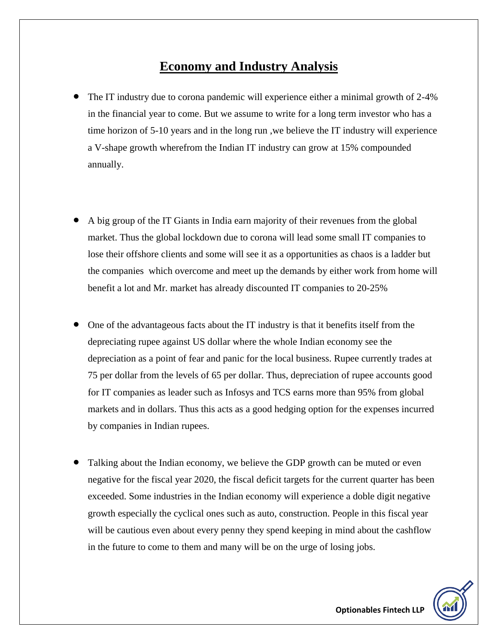## **Economy and Industry Analysis**

- The IT industry due to corona pandemic will experience either a minimal growth of 2-4% in the financial year to come. But we assume to write for a long term investor who has a time horizon of 5-10 years and in the long run ,we believe the IT industry will experience a V-shape growth wherefrom the Indian IT industry can grow at 15% compounded annually.
- A big group of the IT Giants in India earn majority of their revenues from the global market. Thus the global lockdown due to corona will lead some small IT companies to lose their offshore clients and some will see it as a opportunities as chaos is a ladder but the companies which overcome and meet up the demands by either work from home will benefit a lot and Mr. market has already discounted IT companies to 20-25%
- One of the advantageous facts about the IT industry is that it benefits itself from the depreciating rupee against US dollar where the whole Indian economy see the depreciation as a point of fear and panic for the local business. Rupee currently trades at 75 per dollar from the levels of 65 per dollar. Thus, depreciation of rupee accounts good for IT companies as leader such as Infosys and TCS earns more than 95% from global markets and in dollars. Thus this acts as a good hedging option for the expenses incurred by companies in Indian rupees.
- Talking about the Indian economy, we believe the GDP growth can be muted or even negative for the fiscal year 2020, the fiscal deficit targets for the current quarter has been exceeded. Some industries in the Indian economy will experience a doble digit negative growth especially the cyclical ones such as auto, construction. People in this fiscal year will be cautious even about every penny they spend keeping in mind about the cashflow in the future to come to them and many will be on the urge of losing jobs.

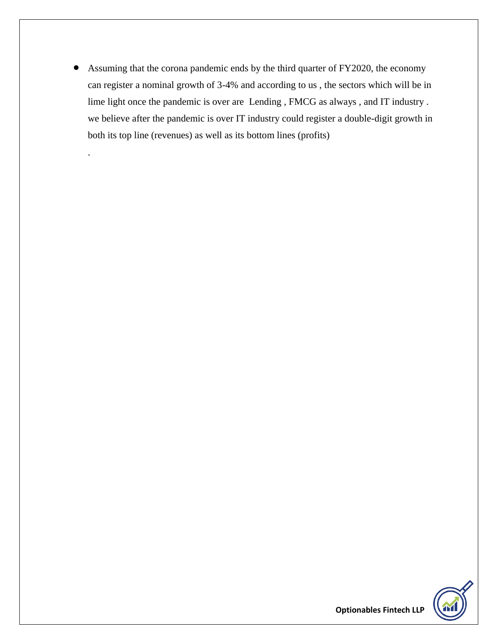Assuming that the corona pandemic ends by the third quarter of FY2020, the economy can register a nominal growth of 3-4% and according to us , the sectors which will be in lime light once the pandemic is over are Lending , FMCG as always , and IT industry . we believe after the pandemic is over IT industry could register a double-digit growth in both its top line (revenues) as well as its bottom lines (profits)

.

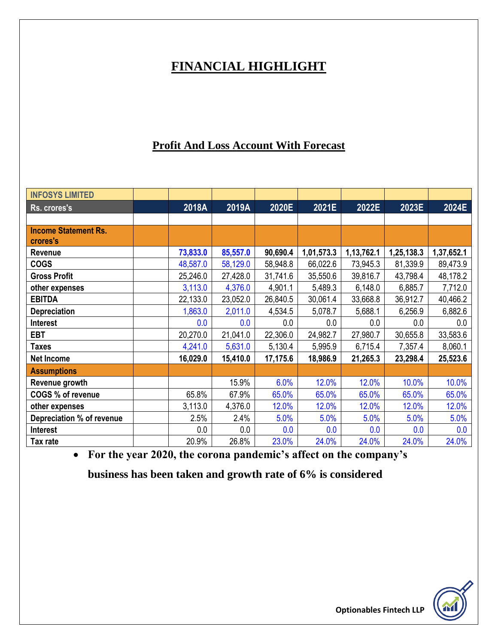# **FINANCIAL HIGHLIGHT**

## **Profit And Loss Account With Forecast**

| <b>INFOSYS LIMITED</b>      |          |          |          |            |            |            |            |
|-----------------------------|----------|----------|----------|------------|------------|------------|------------|
| Rs. crores's                | 2018A    | 2019A    | 2020E    | 2021E      | 2022E      | 2023E      | 2024E      |
|                             |          |          |          |            |            |            |            |
| <b>Income Statement Rs.</b> |          |          |          |            |            |            |            |
| crores's                    |          |          |          |            |            |            |            |
| <b>Revenue</b>              | 73,833.0 | 85,557.0 | 90,690.4 | 1,01,573.3 | 1,13,762.1 | 1,25,138.3 | 1,37,652.1 |
| <b>COGS</b>                 | 48,587.0 | 58,129.0 | 58,948.8 | 66,022.6   | 73,945.3   | 81,339.9   | 89,473.9   |
| <b>Gross Profit</b>         | 25,246.0 | 27,428.0 | 31,741.6 | 35,550.6   | 39,816.7   | 43,798.4   | 48,178.2   |
| other expenses              | 3,113.0  | 4,376.0  | 4,901.1  | 5,489.3    | 6,148.0    | 6,885.7    | 7,712.0    |
| <b>EBITDA</b>               | 22,133.0 | 23,052.0 | 26,840.5 | 30,061.4   | 33,668.8   | 36,912.7   | 40,466.2   |
| <b>Depreciation</b>         | 1,863.0  | 2,011.0  | 4,534.5  | 5,078.7    | 5,688.1    | 6,256.9    | 6,882.6    |
| Interest                    | 0.0      | 0.0      | 0.0      | 0.0        | 0.0        | 0.0        | 0.0        |
| <b>EBT</b>                  | 20,270.0 | 21,041.0 | 22,306.0 | 24,982.7   | 27,980.7   | 30,655.8   | 33,583.6   |
| Taxes                       | 4,241.0  | 5,631.0  | 5,130.4  | 5,995.9    | 6,715.4    | 7,357.4    | 8,060.1    |
| <b>Net Income</b>           | 16,029.0 | 15,410.0 | 17,175.6 | 18,986.9   | 21,265.3   | 23,298.4   | 25,523.6   |
| <b>Assumptions</b>          |          |          |          |            |            |            |            |
| Revenue growth              |          | 15.9%    | 6.0%     | 12.0%      | 12.0%      | 10.0%      | 10.0%      |
| COGS % of revenue           | 65.8%    | 67.9%    | 65.0%    | 65.0%      | 65.0%      | 65.0%      | 65.0%      |
| other expenses              | 3,113.0  | 4,376.0  | 12.0%    | 12.0%      | 12.0%      | 12.0%      | 12.0%      |
| Depreciation % of revenue   | 2.5%     | 2.4%     | 5.0%     | 5.0%       | 5.0%       | 5.0%       | 5.0%       |
| Interest                    | 0.0      | 0.0      | 0.0      | 0.0        | 0.0        | 0.0        | 0.0        |
| Tax rate                    | 20.9%    | 26.8%    | 23.0%    | 24.0%      | 24.0%      | 24.0%      | 24.0%      |

**For the year 2020, the corona pandemic's affect on the company's**

**business has been taken and growth rate of 6% is considered**

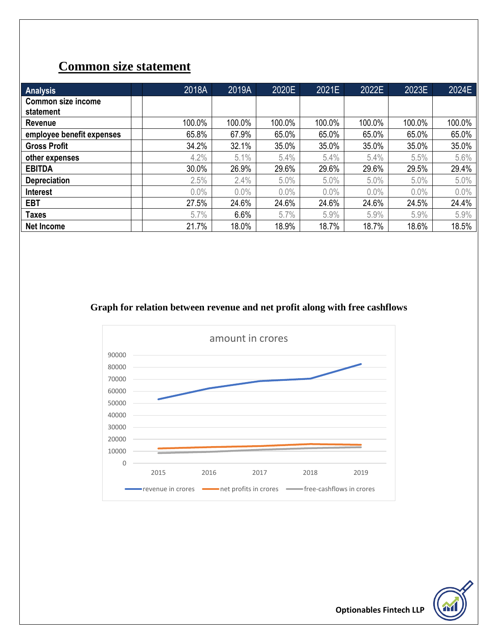# **Common size statement**

| Analysis                               | 2018A  | 2019A  | 2020E  | 2021E  | 2022E  | 2023E   | 2024E  |
|----------------------------------------|--------|--------|--------|--------|--------|---------|--------|
| <b>Common size income</b><br>statement |        |        |        |        |        |         |        |
| Revenue                                | 100.0% | 100.0% | 100.0% | 100.0% | 100.0% | 100.0%  | 100.0% |
| employee benefit expenses              | 65.8%  | 67.9%  | 65.0%  | 65.0%  | 65.0%  | 65.0%   | 65.0%  |
| <b>Gross Profit</b>                    | 34.2%  | 32.1%  | 35.0%  | 35.0%  | 35.0%  | 35.0%   | 35.0%  |
| other expenses                         | 4.2%   | 5.1%   | 5.4%   | 5.4%   | 5.4%   | 5.5%    | 5.6%   |
| <b>EBITDA</b>                          | 30.0%  | 26.9%  | 29.6%  | 29.6%  | 29.6%  | 29.5%   | 29.4%  |
| <b>Depreciation</b>                    | 2.5%   | 2.4%   | 5.0%   | 5.0%   | 5.0%   | 5.0%    | 5.0%   |
| <b>Interest</b>                        | 0.0%   | 0.0%   | 0.0%   | 0.0%   | 0.0%   | $0.0\%$ | 0.0%   |
| <b>EBT</b>                             | 27.5%  | 24.6%  | 24.6%  | 24.6%  | 24.6%  | 24.5%   | 24.4%  |
| Taxes                                  | 5.7%   | 6.6%   | 5.7%   | 5.9%   | 5.9%   | 5.9%    | 5.9%   |
| <b>Net Income</b>                      | 21.7%  | 18.0%  | 18.9%  | 18.7%  | 18.7%  | 18.6%   | 18.5%  |

#### **Graph for relation between revenue and net profit along with free cashflows**



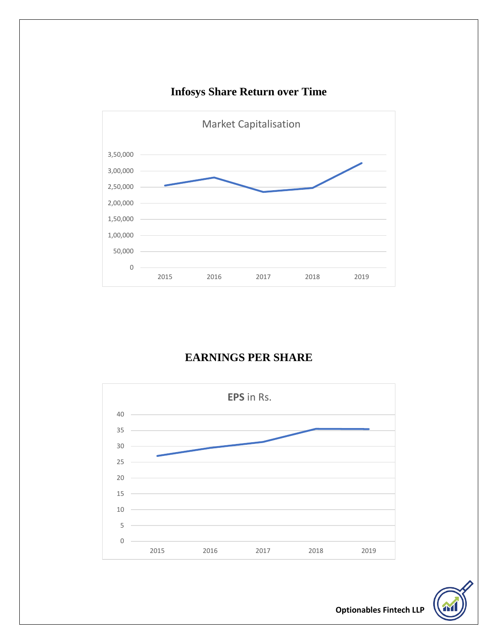

## **Infosys Share Return over Time**

## **EARNINGS PER SHARE**



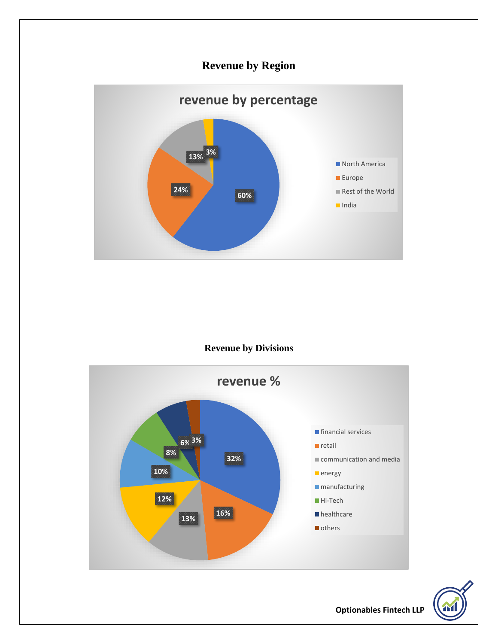## **Revenue by Region**



#### **Revenue by Divisions**



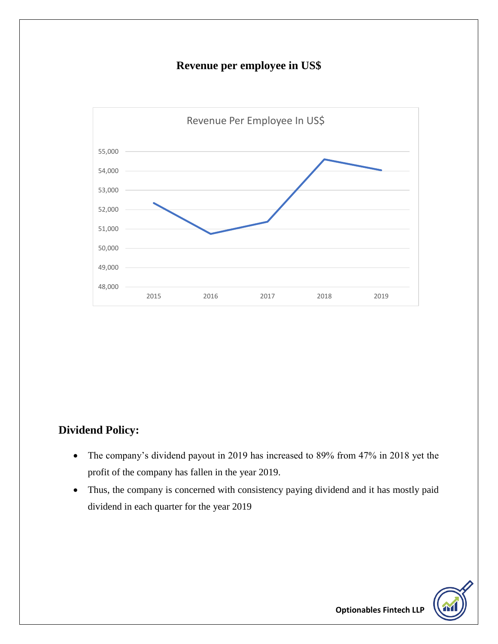## **Revenue per employee in US\$**



#### **Dividend Policy:**

- The company's dividend payout in 2019 has increased to 89% from 47% in 2018 yet the profit of the company has fallen in the year 2019.
- Thus, the company is concerned with consistency paying dividend and it has mostly paid dividend in each quarter for the year 2019

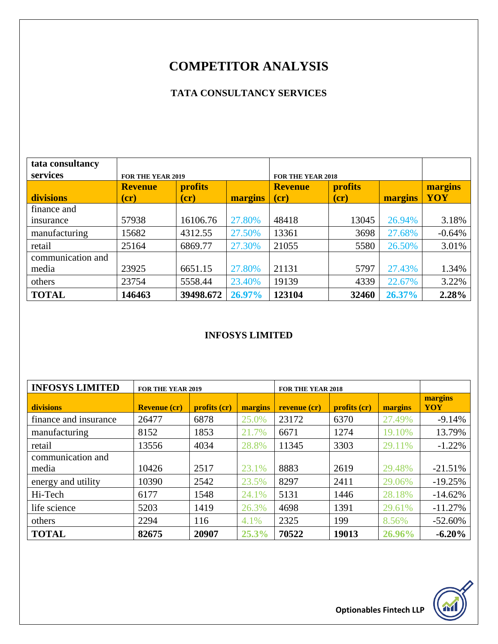# **COMPETITOR ANALYSIS**

### **TATA CONSULTANCY SERVICES**

| tata consultancy  |                                  |               |         |                                  |               |         |            |
|-------------------|----------------------------------|---------------|---------|----------------------------------|---------------|---------|------------|
| services          | <b>FOR THE YEAR 2019</b>         |               |         | <b>FOR THE YEAR 2018</b>         |               |         |            |
|                   | <b>profits</b><br><b>Revenue</b> |               |         | <b>profits</b><br><b>Revenue</b> |               |         | margins    |
| divisions         | (c <b>r</b> )                    | (c <b>r</b> ) | margins | (c <b>r</b> )                    | (c <b>r</b> ) | margins | <b>YOY</b> |
| finance and       |                                  |               |         |                                  |               |         |            |
| insurance         | 57938                            | 16106.76      | 27.80%  | 48418                            | 13045         | 26.94%  | 3.18%      |
| manufacturing     | 15682                            | 4312.55       | 27.50%  | 13361                            | 3698          | 27.68%  | $-0.64%$   |
| retail            | 25164                            | 6869.77       | 27.30%  | 21055                            | 5580          | 26.50%  | 3.01%      |
| communication and |                                  |               |         |                                  |               |         |            |
| media             | 23925                            | 6651.15       | 27.80%  | 21131                            | 5797          | 27.43%  | 1.34%      |
| others            | 23754                            | 5558.44       | 23.40%  | 19139                            | 4339          | 22.67%  | 3.22%      |
| <b>TOTAL</b>      | 146463                           | 39498.672     | 26.97%  | 123104                           | 32460         | 26.37%  | 2.28%      |

#### **INFOSYS LIMITED**

| <b>INFOSYS LIMITED</b> | <b>FOR THE YEAR 2019</b> |              |         | <b>FOR THE YEAR 2018</b> |              |         |                |
|------------------------|--------------------------|--------------|---------|--------------------------|--------------|---------|----------------|
| divisions              | <b>Revenue (cr)</b>      | profits (cr) | margins | revenue (cr)             | profits (cr) | margins | margins<br>YOY |
| finance and insurance  | 26477                    | 6878         | 25.0%   | 23172                    | 6370         | 27.49%  | $-9.14%$       |
| manufacturing          | 8152                     | 1853         | 21.7%   | 6671                     | 1274         | 19.10%  | 13.79%         |
| retail                 | 13556                    | 4034         | 28.8%   | 11345                    | 3303         | 29.11%  | $-1.22%$       |
| communication and      |                          |              |         |                          |              |         |                |
| media                  | 10426                    | 2517         | 23.1%   | 8883                     | 2619         | 29.48%  | $-21.51%$      |
| energy and utility     | 10390                    | 2542         | 23.5%   | 8297                     | 2411         | 29.06%  | $-19.25%$      |
| Hi-Tech                | 6177                     | 1548         | 24.1%   | 5131                     | 1446         | 28.18%  | $-14.62%$      |
| life science           | 5203                     | 1419         | 26.3%   | 4698                     | 1391         | 29.61%  | $-11.27%$      |
| others                 | 2294                     | 116          | 4.1%    | 2325                     | 199          | 8.56%   | $-52.60%$      |
| <b>TOTAL</b>           | 82675                    | 20907        | 25.3%   | 70522                    | 19013        | 26.96%  | $-6.20%$       |

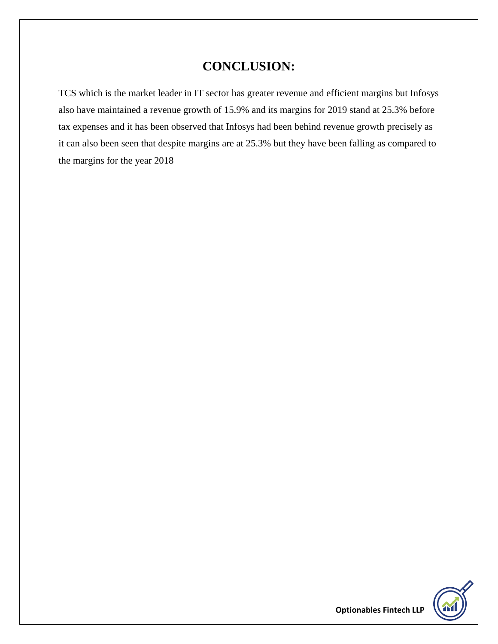## **CONCLUSION:**

TCS which is the market leader in IT sector has greater revenue and efficient margins but Infosys also have maintained a revenue growth of 15.9% and its margins for 2019 stand at 25.3% before tax expenses and it has been observed that Infosys had been behind revenue growth precisely as it can also been seen that despite margins are at 25.3% but they have been falling as compared to the margins for the year 2018

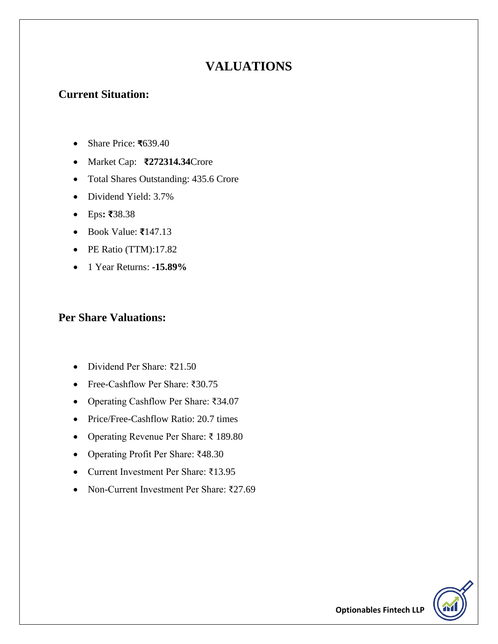## **VALUATIONS**

### **Current Situation:**

- Share Price: **₹**639.40
- Market Cap: **₹272314.34**Crore
- Total Shares Outstanding: 435.6 Crore
- Dividend Yield: 3.7%
- Eps**: ₹**38.38
- Book Value: **₹**147.13
- PE Ratio (TTM):17.82
- 1 Year Returns: **-15.89%**

### **Per Share Valuations:**

- Dividend Per Share: ₹21.50
- Free-Cashflow Per Share: ₹30.75
- Operating Cashflow Per Share: ₹34.07
- Price/Free-Cashflow Ratio: 20.7 times
- Operating Revenue Per Share: ₹ 189.80
- Operating Profit Per Share: ₹48.30
- Current Investment Per Share: ₹13.95
- Non-Current Investment Per Share: ₹27.69

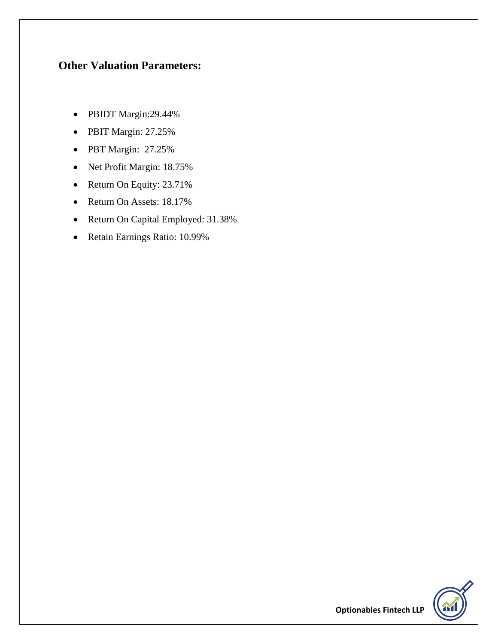### **Other Valuation Parameters:**

- PBIDT Margin:29.44%
- PBIT Margin: 27.25%
- PBT Margin: 27.25%
- Net Profit Margin: 18.75%
- Return On Equity: 23.71%
- Return On Assets: 18.17%
- Return On Capital Employed: 31.38%
- Retain Earnings Ratio: 10.99%

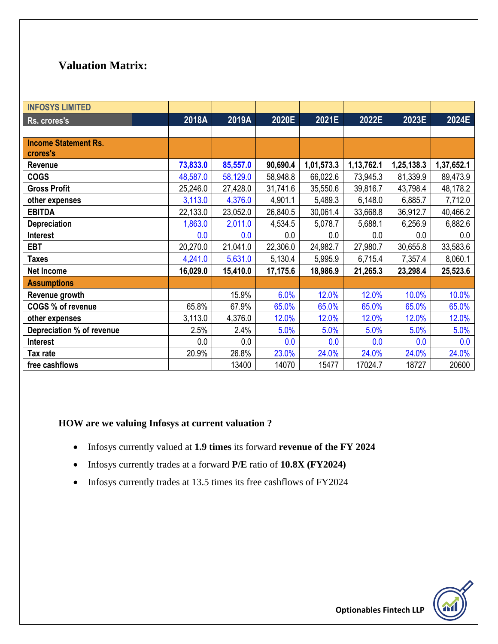### **Valuation Matrix:**

| <b>INFOSYS LIMITED</b>      |          |          |          |            |            |            |            |
|-----------------------------|----------|----------|----------|------------|------------|------------|------------|
| Rs. crores's                | 2018A    | 2019A    | 2020E    | 2021E      | 2022E      | 2023E      | 2024E      |
|                             |          |          |          |            |            |            |            |
| <b>Income Statement Rs.</b> |          |          |          |            |            |            |            |
| crores's                    |          |          |          |            |            |            |            |
| Revenue                     | 73,833.0 | 85,557.0 | 90,690.4 | 1,01,573.3 | 1,13,762.1 | 1,25,138.3 | 1,37,652.1 |
| <b>COGS</b>                 | 48,587.0 | 58,129.0 | 58,948.8 | 66,022.6   | 73,945.3   | 81,339.9   | 89,473.9   |
| <b>Gross Profit</b>         | 25,246.0 | 27,428.0 | 31,741.6 | 35,550.6   | 39,816.7   | 43,798.4   | 48,178.2   |
| other expenses              | 3,113.0  | 4,376.0  | 4,901.1  | 5,489.3    | 6,148.0    | 6,885.7    | 7,712.0    |
| <b>EBITDA</b>               | 22,133.0 | 23,052.0 | 26,840.5 | 30,061.4   | 33,668.8   | 36,912.7   | 40,466.2   |
| <b>Depreciation</b>         | 1,863.0  | 2,011.0  | 4,534.5  | 5,078.7    | 5,688.1    | 6,256.9    | 6,882.6    |
| <b>Interest</b>             | 0.0      | 0.0      | 0.0      | 0.0        | 0.0        | 0.0        | 0.0        |
| <b>EBT</b>                  | 20,270.0 | 21,041.0 | 22,306.0 | 24,982.7   | 27,980.7   | 30,655.8   | 33,583.6   |
| <b>Taxes</b>                | 4,241.0  | 5,631.0  | 5,130.4  | 5,995.9    | 6,715.4    | 7,357.4    | 8,060.1    |
| <b>Net Income</b>           | 16,029.0 | 15,410.0 | 17,175.6 | 18,986.9   | 21,265.3   | 23,298.4   | 25,523.6   |
| <b>Assumptions</b>          |          |          |          |            |            |            |            |
| Revenue growth              |          | 15.9%    | 6.0%     | 12.0%      | 12.0%      | 10.0%      | 10.0%      |
| COGS % of revenue           | 65.8%    | 67.9%    | 65.0%    | 65.0%      | 65.0%      | 65.0%      | 65.0%      |
| other expenses              | 3,113.0  | 4,376.0  | 12.0%    | 12.0%      | 12.0%      | 12.0%      | 12.0%      |
| Depreciation % of revenue   | 2.5%     | 2.4%     | 5.0%     | 5.0%       | 5.0%       | 5.0%       | 5.0%       |
| <b>Interest</b>             | 0.0      | 0.0      | 0.0      | 0.0        | 0.0        | 0.0        | 0.0        |
| Tax rate                    | 20.9%    | 26.8%    | 23.0%    | 24.0%      | 24.0%      | 24.0%      | 24.0%      |
| free cashflows              |          | 13400    | 14070    | 15477      | 17024.7    | 18727      | 20600      |

#### **HOW are we valuing Infosys at current valuation ?**

- Infosys currently valued at **1.9 times** its forward **revenue of the FY 2024**
- Infosys currently trades at a forward **P/E** ratio of **10.8X (FY2024)**
- Infosys currently trades at 13.5 times its free cashflows of FY2024

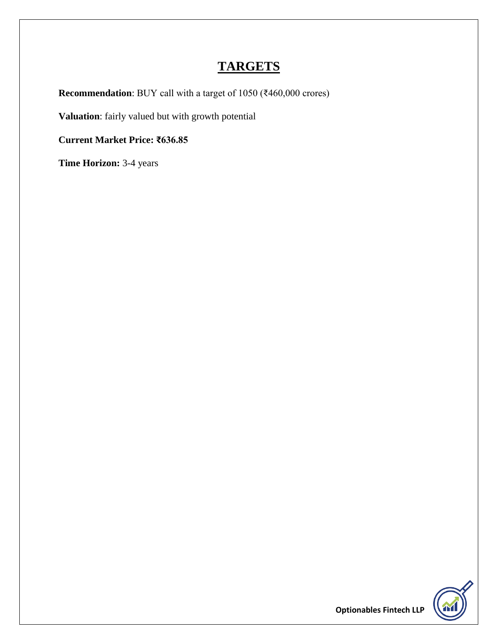## **TARGETS**

**Recommendation**: BUY call with a target of 1050 (₹460,000 crores)

**Valuation**: fairly valued but with growth potential

**Current Market Price: ₹636.85**

**Time Horizon:** 3-4 years